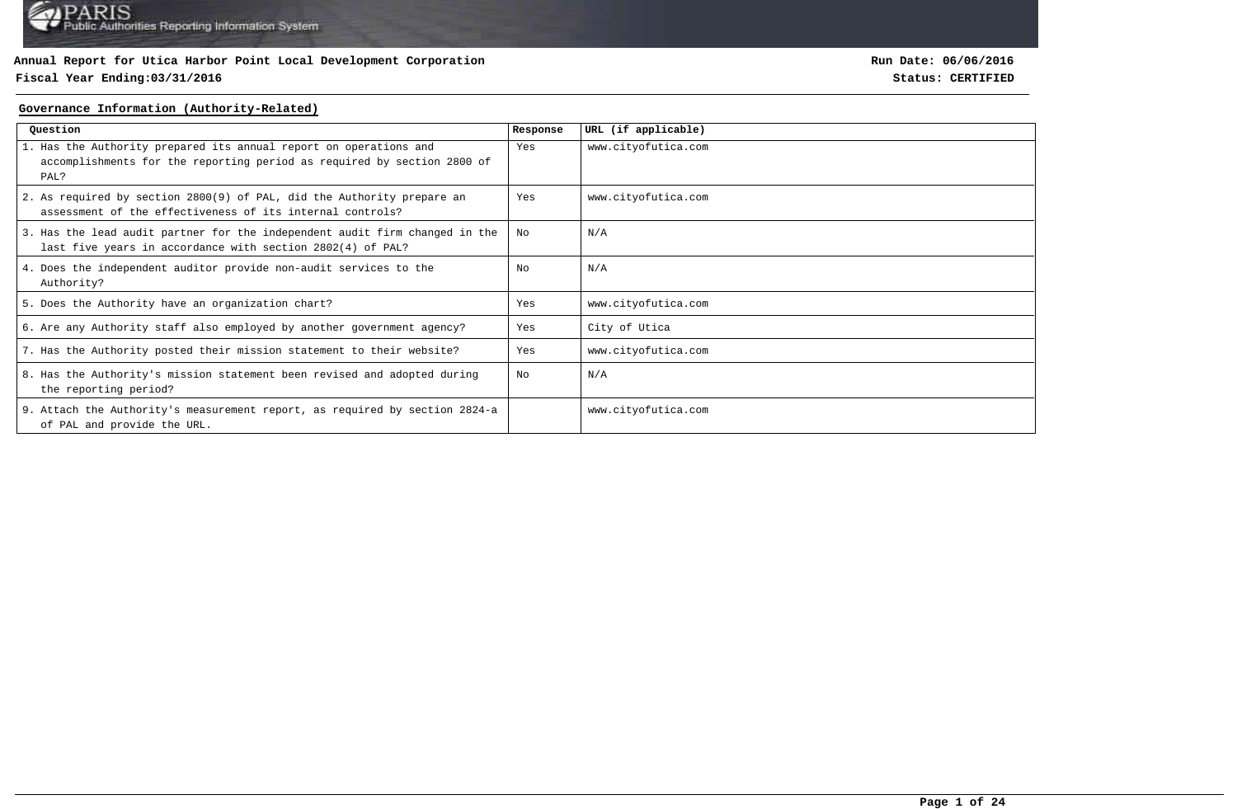### **Fiscal Year Ending:03/31/2016 Status: CERTIFIED**

**Run Date: 06/06/2016**

#### **Governance Information (Authority-Related)**

| Question                                                                                                                                             | Response | URL (if applicable) |
|------------------------------------------------------------------------------------------------------------------------------------------------------|----------|---------------------|
| 1. Has the Authority prepared its annual report on operations and<br>accomplishments for the reporting period as required by section 2800 of<br>PAL? | Yes      | www.cityofutica.com |
| 2. As required by section 2800(9) of PAL, did the Authority prepare an<br>assessment of the effectiveness of its internal controls?                  | Yes      | www.cityofutica.com |
| 3. Has the lead audit partner for the independent audit firm changed in the<br>last five years in accordance with section 2802(4) of PAL?            | No       | N/A                 |
| 4. Does the independent auditor provide non-audit services to the<br>Authority?                                                                      | Nο       | N/A                 |
| 5. Does the Authority have an organization chart?                                                                                                    | Yes      | www.cityofutica.com |
| 6. Are any Authority staff also employed by another government agency?                                                                               | Yes      | City of Utica       |
| 7. Has the Authority posted their mission statement to their website?                                                                                | Yes      | www.cityofutica.com |
| 8. Has the Authority's mission statement been revised and adopted during<br>the reporting period?                                                    | No       | N/A                 |
| 9. Attach the Authority's measurement report, as required by section 2824-a<br>of PAL and provide the URL.                                           |          | www.cityofutica.com |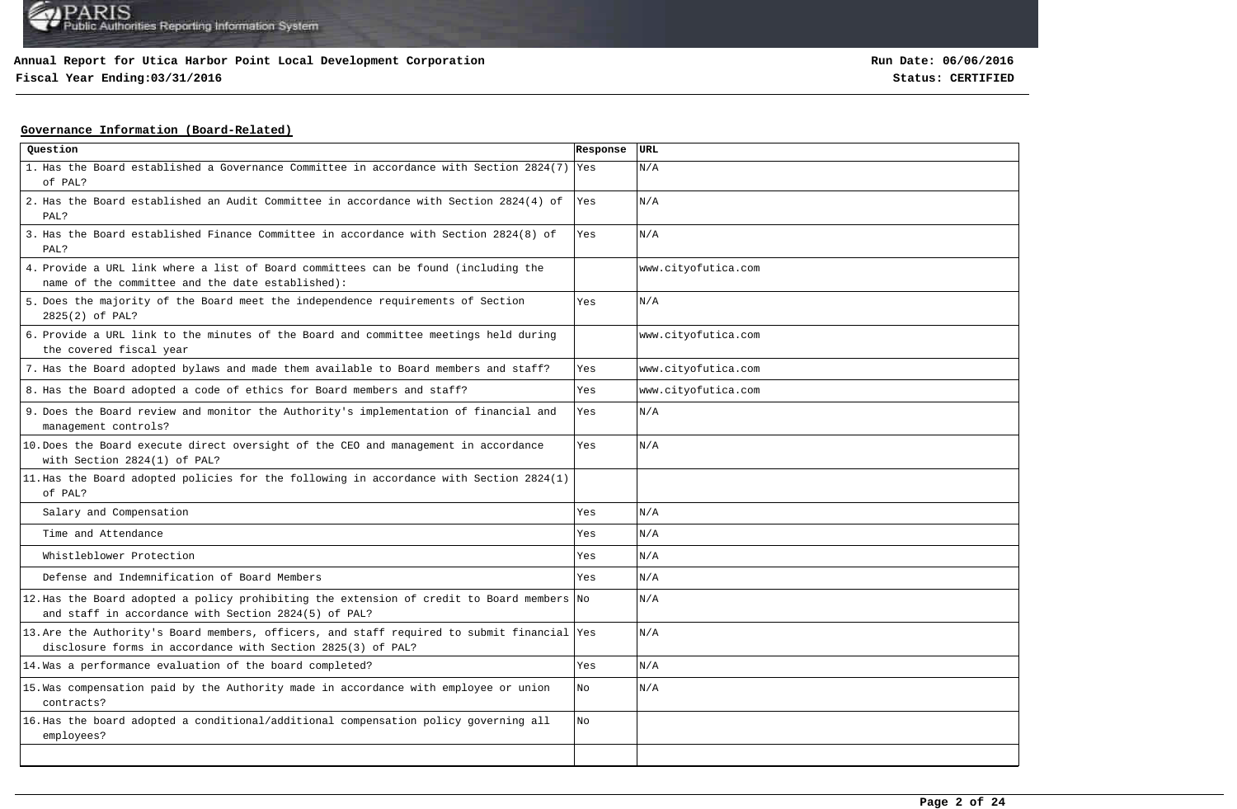## **Fiscal Year Ending:03/31/2016 Status: CERTIFIED**

**Run Date: 06/06/2016**

### **Governance Information (Board-Related)**

| Question                                                                                                                                                   | Response | URL                 |
|------------------------------------------------------------------------------------------------------------------------------------------------------------|----------|---------------------|
| 1. Has the Board established a Governance Committee in accordance with Section 2824(7) Yes<br>of PAL?                                                      |          | N/A                 |
| 2. Has the Board established an Audit Committee in accordance with Section 2824(4) of<br>PAL?                                                              | Yes      | N/A                 |
| 3. Has the Board established Finance Committee in accordance with Section 2824(8) of<br>PAL?                                                               | Yes      | N/A                 |
| 4. Provide a URL link where a list of Board committees can be found (including the<br>name of the committee and the date established):                     |          | www.cityofutica.com |
| 5. Does the majority of the Board meet the independence requirements of Section<br>2825(2) of PAL?                                                         | Yes      | N/A                 |
| 6. Provide a URL link to the minutes of the Board and committee meetings held during<br>the covered fiscal year                                            |          | www.cityofutica.com |
| 7. Has the Board adopted bylaws and made them available to Board members and staff?                                                                        | Yes      | www.cityofutica.com |
| 8. Has the Board adopted a code of ethics for Board members and staff?                                                                                     | Yes      | www.cityofutica.com |
| 9. Does the Board review and monitor the Authority's implementation of financial and<br>management controls?                                               | Yes      | N/A                 |
| 10. Does the Board execute direct oversight of the CEO and management in accordance<br>with Section 2824(1) of PAL?                                        | Yes      | N/A                 |
| 11. Has the Board adopted policies for the following in accordance with Section 2824(1)<br>of PAL?                                                         |          |                     |
| Salary and Compensation                                                                                                                                    | Yes      | N/A                 |
| Time and Attendance                                                                                                                                        | Yes      | N/A                 |
| Whistleblower Protection                                                                                                                                   | Yes      | N/A                 |
| Defense and Indemnification of Board Members                                                                                                               | Yes      | N/A                 |
| 12. Has the Board adopted a policy prohibiting the extension of credit to Board members No<br>and staff in accordance with Section 2824(5) of PAL?         |          | N/A                 |
| 13. Are the Authority's Board members, officers, and staff required to submit financial Yes<br>disclosure forms in accordance with Section 2825(3) of PAL? |          | N/A                 |
| 14. Was a performance evaluation of the board completed?                                                                                                   | Yes      | N/A                 |
| 15. Was compensation paid by the Authority made in accordance with employee or union<br>contracts?                                                         | No       | N/A                 |
| 16. Has the board adopted a conditional/additional compensation policy governing all<br>employees?                                                         | No       |                     |
|                                                                                                                                                            |          |                     |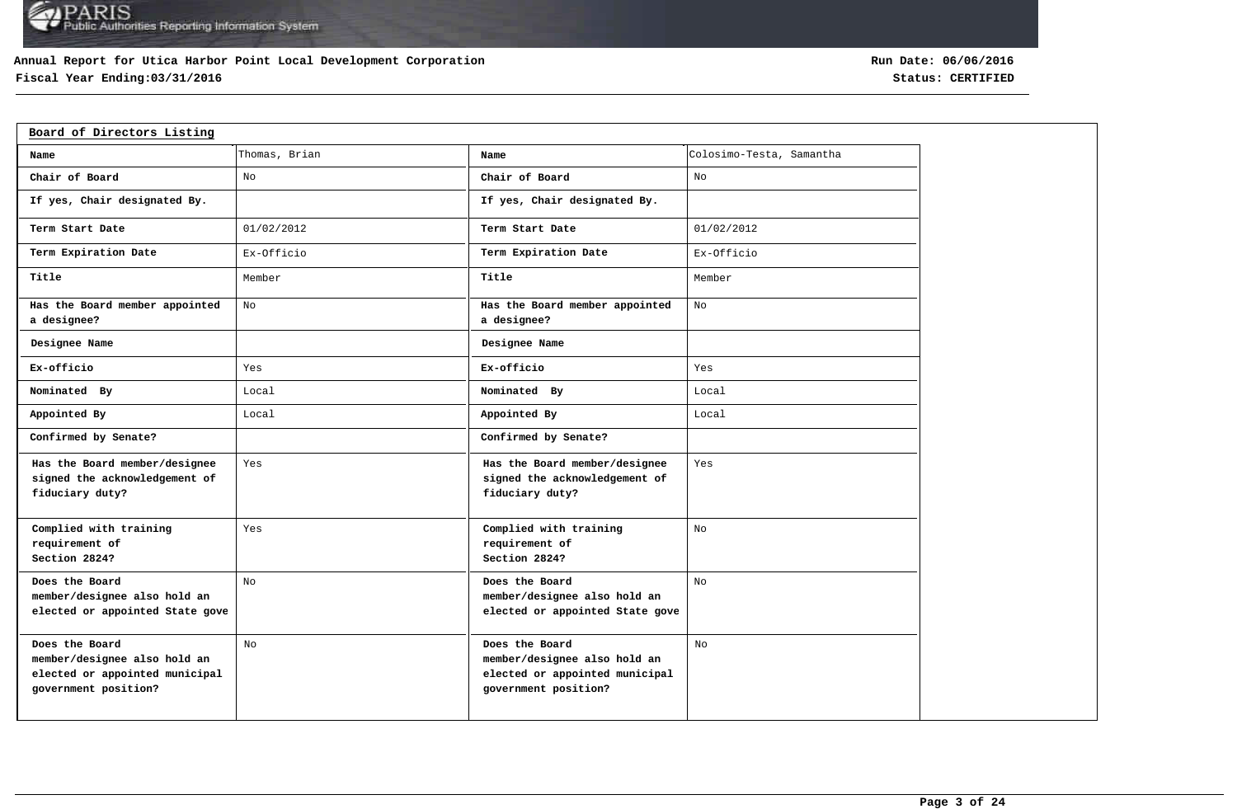### **Annual Report for Utica Harbor Point Local Development Corporation**

## **Fiscal Year Ending:03/31/2016 Status: CERTIFIED**

| Board of Directors Listing                                                                               |                |                                                                                                          |                          |
|----------------------------------------------------------------------------------------------------------|----------------|----------------------------------------------------------------------------------------------------------|--------------------------|
| Name                                                                                                     | Thomas, Brian  | Name                                                                                                     | Colosimo-Testa, Samantha |
| Chair of Board                                                                                           | No             | Chair of Board                                                                                           | No                       |
| If yes, Chair designated By.                                                                             |                | If yes, Chair designated By.                                                                             |                          |
| Term Start Date                                                                                          | 01/02/2012     | Term Start Date                                                                                          | 01/02/2012               |
| Term Expiration Date                                                                                     | Ex-Officio     | Term Expiration Date                                                                                     | Ex-Officio               |
| Title                                                                                                    | Member         | Title                                                                                                    | Member                   |
| Has the Board member appointed<br>a designee?                                                            | No             | Has the Board member appointed<br>a designee?                                                            | No                       |
| Designee Name                                                                                            |                | Designee Name                                                                                            |                          |
| Ex-officio                                                                                               | Yes            | Ex-officio                                                                                               | Yes                      |
| Nominated By                                                                                             | Local          | Nominated By                                                                                             | Local                    |
| Appointed By                                                                                             | Local          | Appointed By                                                                                             | Local                    |
| Confirmed by Senate?                                                                                     |                | Confirmed by Senate?                                                                                     |                          |
| Has the Board member/designee<br>signed the acknowledgement of<br>fiduciary duty?                        | Yes            | Has the Board member/designee<br>signed the acknowledgement of<br>fiduciary duty?                        | Yes                      |
| Complied with training<br>requirement of<br>Section 2824?                                                | Yes            | Complied with training<br>requirement of<br>Section 2824?                                                | No                       |
| Does the Board<br>member/designee also hold an<br>elected or appointed State gove                        | No             | Does the Board<br>member/designee also hold an<br>elected or appointed State gove                        | No                       |
| Does the Board<br>member/designee also hold an<br>elected or appointed municipal<br>government position? | N <sub>O</sub> | Does the Board<br>member/designee also hold an<br>elected or appointed municipal<br>government position? | N <sub>O</sub>           |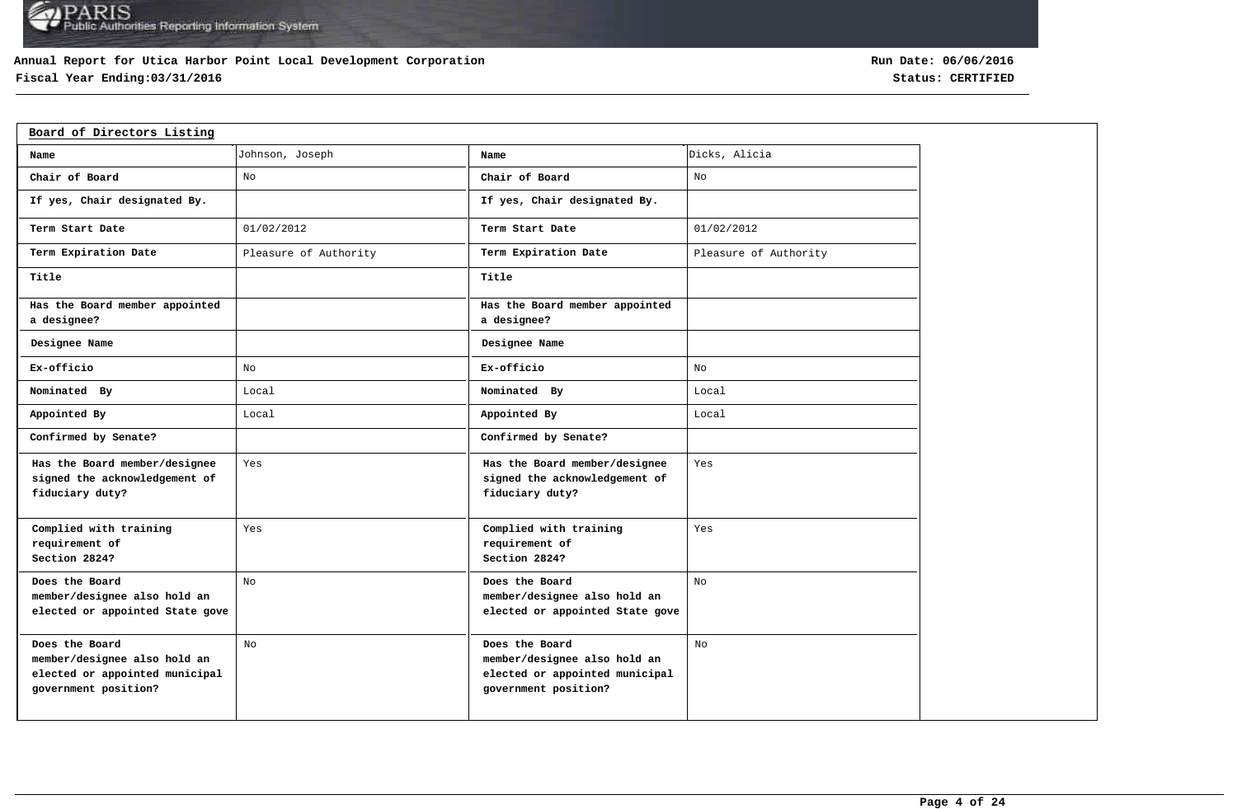### **Annual Report for Utica Harbor Point Local Development Corporation**

## **Fiscal Year Ending:03/31/2016 Status: CERTIFIED**

| Board of Directors Listing                                                                               |                       |                                                                                                          |                       |
|----------------------------------------------------------------------------------------------------------|-----------------------|----------------------------------------------------------------------------------------------------------|-----------------------|
| Name                                                                                                     | Johnson, Joseph       | Name                                                                                                     | Dicks, Alicia         |
| Chair of Board                                                                                           | No                    | Chair of Board                                                                                           | No                    |
| If yes, Chair designated By.                                                                             |                       | If yes, Chair designated By.                                                                             |                       |
| Term Start Date                                                                                          | 01/02/2012            | Term Start Date                                                                                          | 01/02/2012            |
| Term Expiration Date                                                                                     | Pleasure of Authority | Term Expiration Date                                                                                     | Pleasure of Authority |
| Title                                                                                                    |                       | Title                                                                                                    |                       |
| Has the Board member appointed<br>a designee?                                                            |                       | Has the Board member appointed<br>a designee?                                                            |                       |
| Designee Name                                                                                            |                       | Designee Name                                                                                            |                       |
| Ex-officio                                                                                               | No                    | Ex-officio                                                                                               | No                    |
| Nominated By                                                                                             | Local                 | Nominated By                                                                                             | Local                 |
| Appointed By                                                                                             | Local                 | Appointed By                                                                                             | Local                 |
| Confirmed by Senate?                                                                                     |                       | Confirmed by Senate?                                                                                     |                       |
| Has the Board member/designee<br>signed the acknowledgement of<br>fiduciary duty?                        | Yes                   | Has the Board member/designee<br>signed the acknowledgement of<br>fiduciary duty?                        | Yes                   |
| Complied with training<br>requirement of<br>Section 2824?                                                | Yes                   | Complied with training<br>requirement of<br>Section 2824?                                                | Yes                   |
| Does the Board<br>member/designee also hold an<br>elected or appointed State gove                        | No                    | Does the Board<br>member/designee also hold an<br>elected or appointed State gove                        | No                    |
| Does the Board<br>member/designee also hold an<br>elected or appointed municipal<br>government position? | No                    | Does the Board<br>member/designee also hold an<br>elected or appointed municipal<br>government position? | No                    |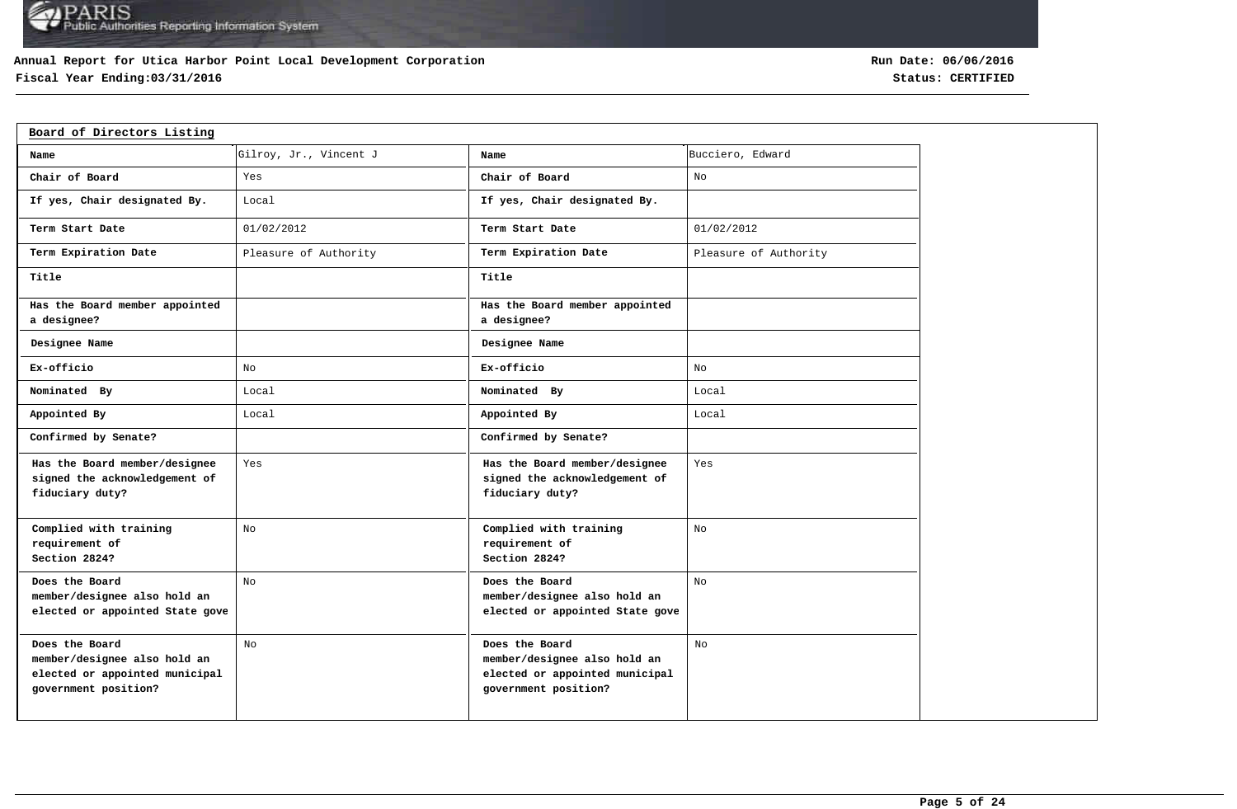### **Annual Report for Utica Harbor Point Local Development Corporation**

## **Fiscal Year Ending:03/31/2016 Status: CERTIFIED**

| Board of Directors Listing                                                                               |                        |                                                                                                          |                       |
|----------------------------------------------------------------------------------------------------------|------------------------|----------------------------------------------------------------------------------------------------------|-----------------------|
| Name                                                                                                     | Gilroy, Jr., Vincent J | Name                                                                                                     | Bucciero, Edward      |
| Chair of Board                                                                                           | Yes                    | Chair of Board                                                                                           | No                    |
| If yes, Chair designated By.                                                                             | Local                  | If yes, Chair designated By.                                                                             |                       |
| Term Start Date                                                                                          | 01/02/2012             | Term Start Date                                                                                          | 01/02/2012            |
| Term Expiration Date                                                                                     | Pleasure of Authority  | Term Expiration Date                                                                                     | Pleasure of Authority |
| Title                                                                                                    |                        | Title                                                                                                    |                       |
| Has the Board member appointed<br>a designee?                                                            |                        | Has the Board member appointed<br>a designee?                                                            |                       |
| Designee Name                                                                                            |                        | Designee Name                                                                                            |                       |
| Ex-officio                                                                                               | No                     | Ex-officio                                                                                               | No                    |
| Nominated By                                                                                             | Local                  | Nominated By                                                                                             | Local                 |
| Appointed By                                                                                             | Local                  | Appointed By                                                                                             | Local                 |
| Confirmed by Senate?                                                                                     |                        | Confirmed by Senate?                                                                                     |                       |
| Has the Board member/designee<br>signed the acknowledgement of<br>fiduciary duty?                        | Yes                    | Has the Board member/designee<br>signed the acknowledgement of<br>fiduciary duty?                        | Yes                   |
| Complied with training<br>requirement of<br>Section 2824?                                                | No                     | Complied with training<br>requirement of<br>Section 2824?                                                | No                    |
| Does the Board<br>member/designee also hold an<br>elected or appointed State gove                        | No                     | Does the Board<br>member/designee also hold an<br>elected or appointed State gove                        | No                    |
| Does the Board<br>member/designee also hold an<br>elected or appointed municipal<br>government position? | No                     | Does the Board<br>member/designee also hold an<br>elected or appointed municipal<br>government position? | No                    |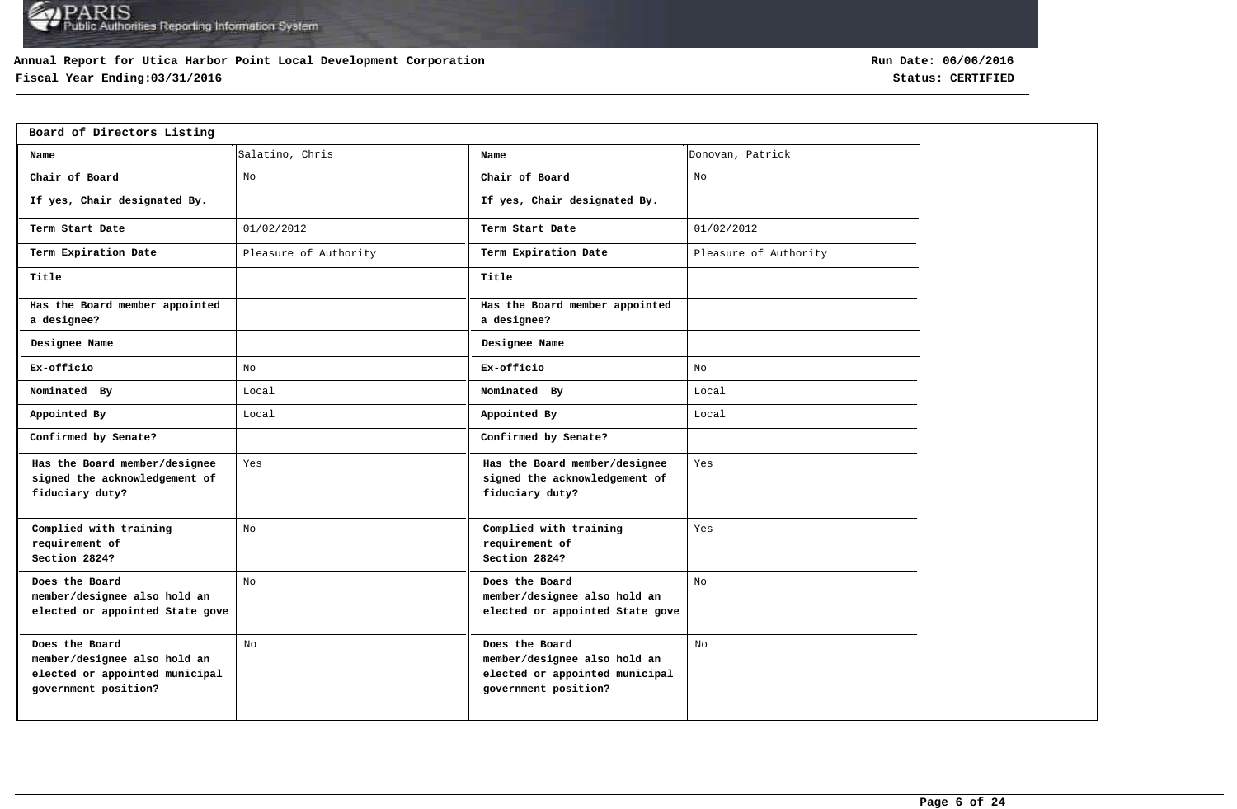### **Annual Report for Utica Harbor Point Local Development Corporation**

## **Fiscal Year Ending:03/31/2016 Status: CERTIFIED**

| Board of Directors Listing                                                                               |                       |                                                                                                          |                       |
|----------------------------------------------------------------------------------------------------------|-----------------------|----------------------------------------------------------------------------------------------------------|-----------------------|
| Name                                                                                                     | Salatino, Chris       | Name                                                                                                     | Donovan, Patrick      |
| Chair of Board                                                                                           | No                    | Chair of Board                                                                                           | No                    |
| If yes, Chair designated By.                                                                             |                       | If yes, Chair designated By.                                                                             |                       |
| Term Start Date                                                                                          | 01/02/2012            | Term Start Date                                                                                          | 01/02/2012            |
| Term Expiration Date                                                                                     | Pleasure of Authority | Term Expiration Date                                                                                     | Pleasure of Authority |
| Title                                                                                                    |                       | Title                                                                                                    |                       |
| Has the Board member appointed<br>a designee?                                                            |                       | Has the Board member appointed<br>a designee?                                                            |                       |
| Designee Name                                                                                            |                       | Designee Name                                                                                            |                       |
| Ex-officio                                                                                               | No                    | Ex-officio                                                                                               | No                    |
| Nominated By                                                                                             | Local                 | Nominated By                                                                                             | Local                 |
| Appointed By                                                                                             | Local                 | Appointed By                                                                                             | Local                 |
| Confirmed by Senate?                                                                                     |                       | Confirmed by Senate?                                                                                     |                       |
| Has the Board member/designee<br>signed the acknowledgement of<br>fiduciary duty?                        | Yes                   | Has the Board member/designee<br>signed the acknowledgement of<br>fiduciary duty?                        | Yes                   |
| Complied with training<br>requirement of<br>Section 2824?                                                | No                    | Complied with training<br>requirement of<br>Section 2824?                                                | Yes                   |
| Does the Board<br>member/designee also hold an<br>elected or appointed State gove                        | No                    | Does the Board<br>member/designee also hold an<br>elected or appointed State gove                        | No                    |
| Does the Board<br>member/designee also hold an<br>elected or appointed municipal<br>government position? | No                    | Does the Board<br>member/designee also hold an<br>elected or appointed municipal<br>government position? | No                    |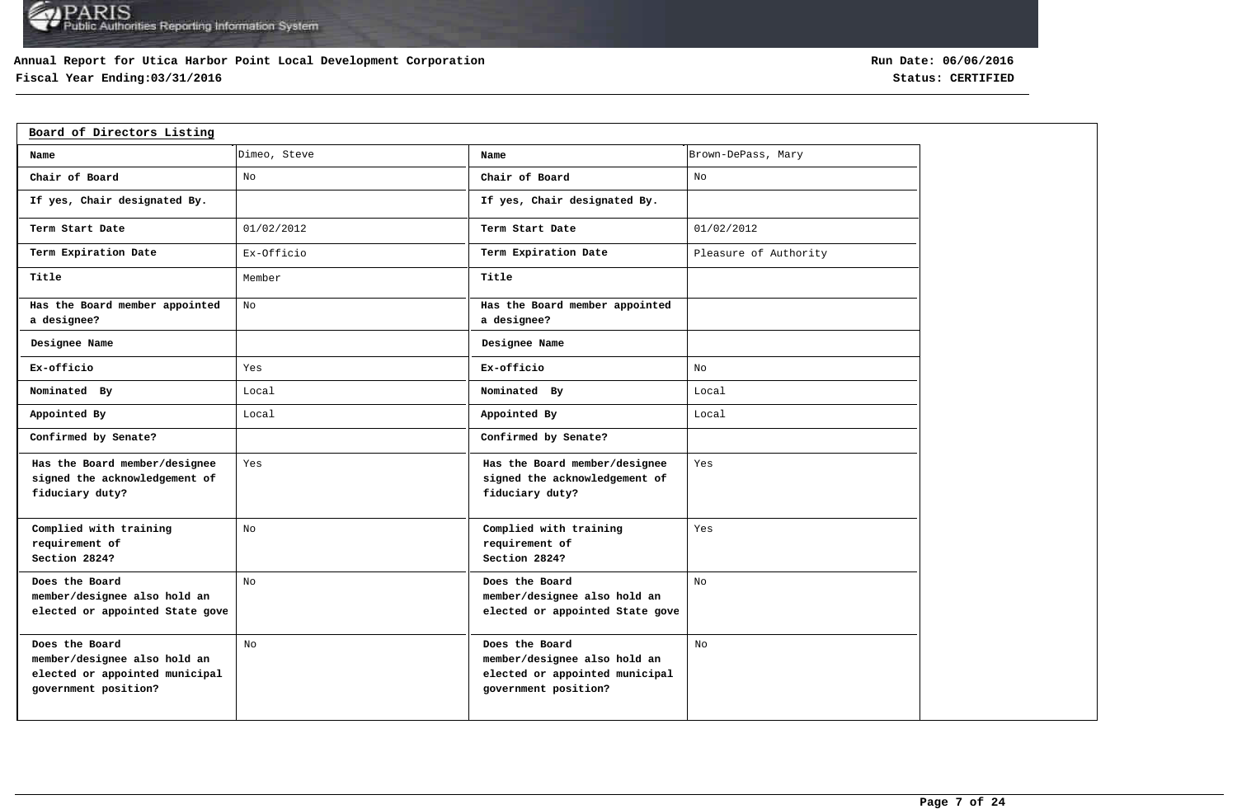### **Annual Report for Utica Harbor Point Local Development Corporation**

## **Fiscal Year Ending:03/31/2016 Status: CERTIFIED**

| Board of Directors Listing                                                                               |              |                                                                                                          |                       |
|----------------------------------------------------------------------------------------------------------|--------------|----------------------------------------------------------------------------------------------------------|-----------------------|
| Name                                                                                                     | Dimeo, Steve | Name                                                                                                     | Brown-DePass, Mary    |
| Chair of Board                                                                                           | No           | Chair of Board                                                                                           | No                    |
| If yes, Chair designated By.                                                                             |              | If yes, Chair designated By.                                                                             |                       |
| Term Start Date                                                                                          | 01/02/2012   | Term Start Date                                                                                          | 01/02/2012            |
| Term Expiration Date                                                                                     | Ex-Officio   | Term Expiration Date                                                                                     | Pleasure of Authority |
| Title                                                                                                    | Member       | Title                                                                                                    |                       |
| Has the Board member appointed<br>a designee?                                                            | No           | Has the Board member appointed<br>a designee?                                                            |                       |
| Designee Name                                                                                            |              | Designee Name                                                                                            |                       |
| Ex-officio                                                                                               | Yes          | Ex-officio                                                                                               | No                    |
| Nominated By                                                                                             | Local        | Nominated By                                                                                             | Local                 |
| Appointed By                                                                                             | Local        | Appointed By                                                                                             | Local                 |
| Confirmed by Senate?                                                                                     |              | Confirmed by Senate?                                                                                     |                       |
| Has the Board member/designee<br>signed the acknowledgement of<br>fiduciary duty?                        | Yes          | Has the Board member/designee<br>signed the acknowledgement of<br>fiduciary duty?                        | Yes                   |
| Complied with training<br>requirement of<br>Section 2824?                                                | No           | Complied with training<br>requirement of<br>Section 2824?                                                | Yes                   |
| Does the Board<br>member/designee also hold an<br>elected or appointed State gove                        | No           | Does the Board<br>member/designee also hold an<br>elected or appointed State gove                        | No                    |
| Does the Board<br>member/designee also hold an<br>elected or appointed municipal<br>government position? | No           | Does the Board<br>member/designee also hold an<br>elected or appointed municipal<br>government position? | No                    |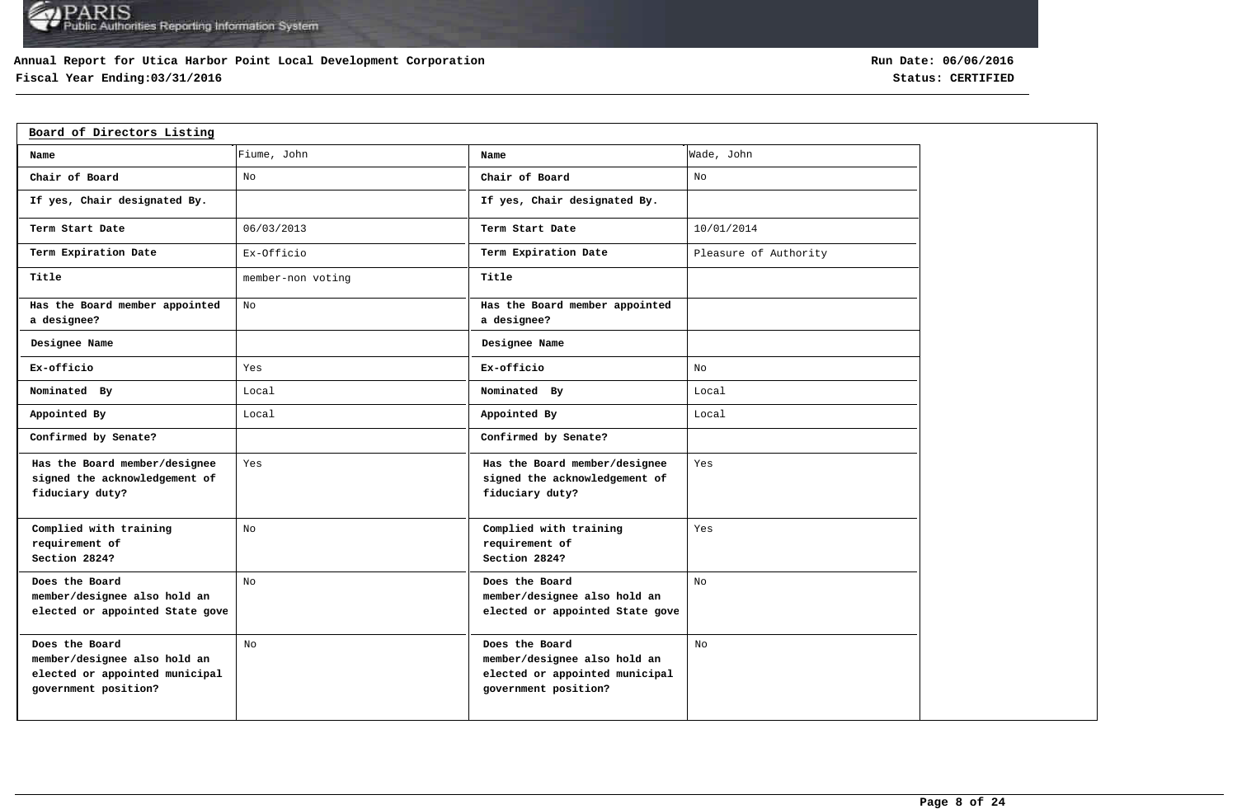### **Annual Report for Utica Harbor Point Local Development Corporation**

## **Fiscal Year Ending:03/31/2016 Status: CERTIFIED**

| Board of Directors Listing                                                                               |                   |                                                                                                          |                       |
|----------------------------------------------------------------------------------------------------------|-------------------|----------------------------------------------------------------------------------------------------------|-----------------------|
| Name                                                                                                     | Fiume, John       | Name                                                                                                     | Wade, John            |
| Chair of Board                                                                                           | No                | Chair of Board                                                                                           | No                    |
| If yes, Chair designated By.                                                                             |                   | If yes, Chair designated By.                                                                             |                       |
| Term Start Date                                                                                          | 06/03/2013        | Term Start Date                                                                                          | 10/01/2014            |
| Term Expiration Date                                                                                     | Ex-Officio        | Term Expiration Date                                                                                     | Pleasure of Authority |
| Title                                                                                                    | member-non voting | Title                                                                                                    |                       |
| Has the Board member appointed<br>a designee?                                                            | No                | Has the Board member appointed<br>a designee?                                                            |                       |
| Designee Name                                                                                            |                   | Designee Name                                                                                            |                       |
| Ex-officio                                                                                               | Yes               | Ex-officio                                                                                               | No                    |
| Nominated By                                                                                             | Local             | Nominated By                                                                                             | Local                 |
| Appointed By                                                                                             | Local             | Appointed By                                                                                             | Local                 |
| Confirmed by Senate?                                                                                     |                   | Confirmed by Senate?                                                                                     |                       |
| Has the Board member/designee<br>signed the acknowledgement of<br>fiduciary duty?                        | Yes               | Has the Board member/designee<br>signed the acknowledgement of<br>fiduciary duty?                        | Yes                   |
| Complied with training<br>requirement of<br>Section 2824?                                                | No                | Complied with training<br>requirement of<br>Section 2824?                                                | Yes                   |
| Does the Board<br>member/designee also hold an<br>elected or appointed State gove                        | No                | Does the Board<br>member/designee also hold an<br>elected or appointed State gove                        | No                    |
| Does the Board<br>member/designee also hold an<br>elected or appointed municipal<br>government position? | No                | Does the Board<br>member/designee also hold an<br>elected or appointed municipal<br>government position? | No                    |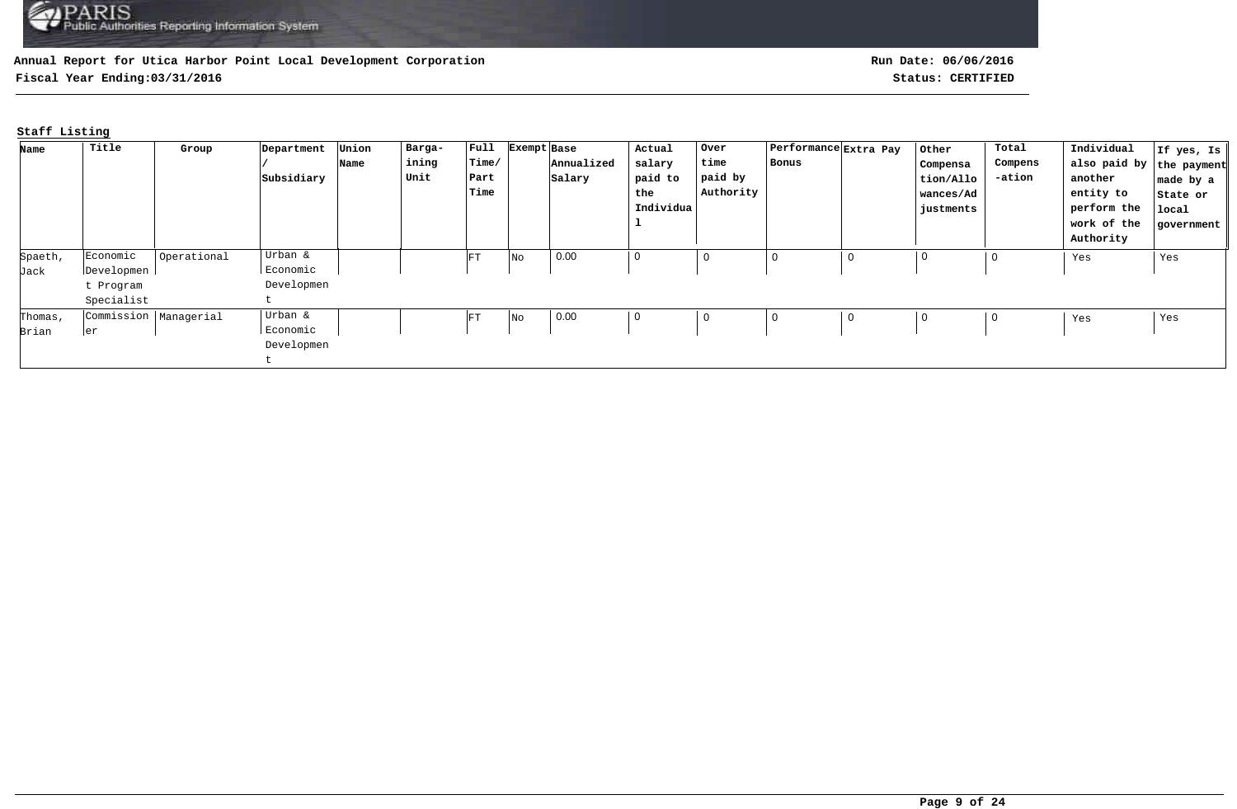**Fiscal Year Ending:03/31/2016 Status: CERTIFIED**

## **Staff Listing**

| Name    | Title                   | Group       | Department | Union | Barga- | $ $ Full   | Exempt Base |            | Actual    | Over        | Performance Extra Pay |   | Other       | Total   | Individual               | If yes, Is |
|---------|-------------------------|-------------|------------|-------|--------|------------|-------------|------------|-----------|-------------|-----------------------|---|-------------|---------|--------------------------|------------|
|         |                         |             |            | Name  | ining  | Time/      |             | Annualized | salary    | time        | Bonus                 |   | Compensa    | Compens | also paid by the payment |            |
|         |                         |             | Subsidiary |       | Unit   | Part       |             | Salary     | paid to   | paid by     |                       |   | tion/Allo   | -ation  | another                  | made by a  |
|         |                         |             |            |       |        | Time       |             |            | the       | Authority   |                       |   | wances/Ad   |         | entity to                | State or   |
|         |                         |             |            |       |        |            |             |            | Individua |             |                       |   | justments   |         | perform the              | local      |
|         |                         |             |            |       |        |            |             |            |           |             |                       |   |             |         | work of the              | government |
|         |                         |             |            |       |        |            |             |            |           |             |                       |   |             |         | Authority                |            |
| Spaeth, | Economic                | Operational | Urban &    |       |        | ${\rm FT}$ | No          | 0.00       | 0         | $\mathbf 0$ | 0                     | 0 | $\mathbf 0$ | 0       | Yes                      | Yes        |
| Jack    | Developmen              |             | Economic   |       |        |            |             |            |           |             |                       |   |             |         |                          |            |
|         | t Program               |             | Developmen |       |        |            |             |            |           |             |                       |   |             |         |                          |            |
|         | Specialist              |             |            |       |        |            |             |            |           |             |                       |   |             |         |                          |            |
| Thomas, | Commission   Managerial |             | Urban &    |       |        | FT         | No          | 0.00       | 0         | 0           | 0                     | 0 | $\mathbf 0$ | 0       | Yes                      | Yes        |
| Brian   | ler                     |             | Economic   |       |        |            |             |            |           |             |                       |   |             |         |                          |            |
|         |                         |             | Developmen |       |        |            |             |            |           |             |                       |   |             |         |                          |            |
|         |                         |             |            |       |        |            |             |            |           |             |                       |   |             |         |                          |            |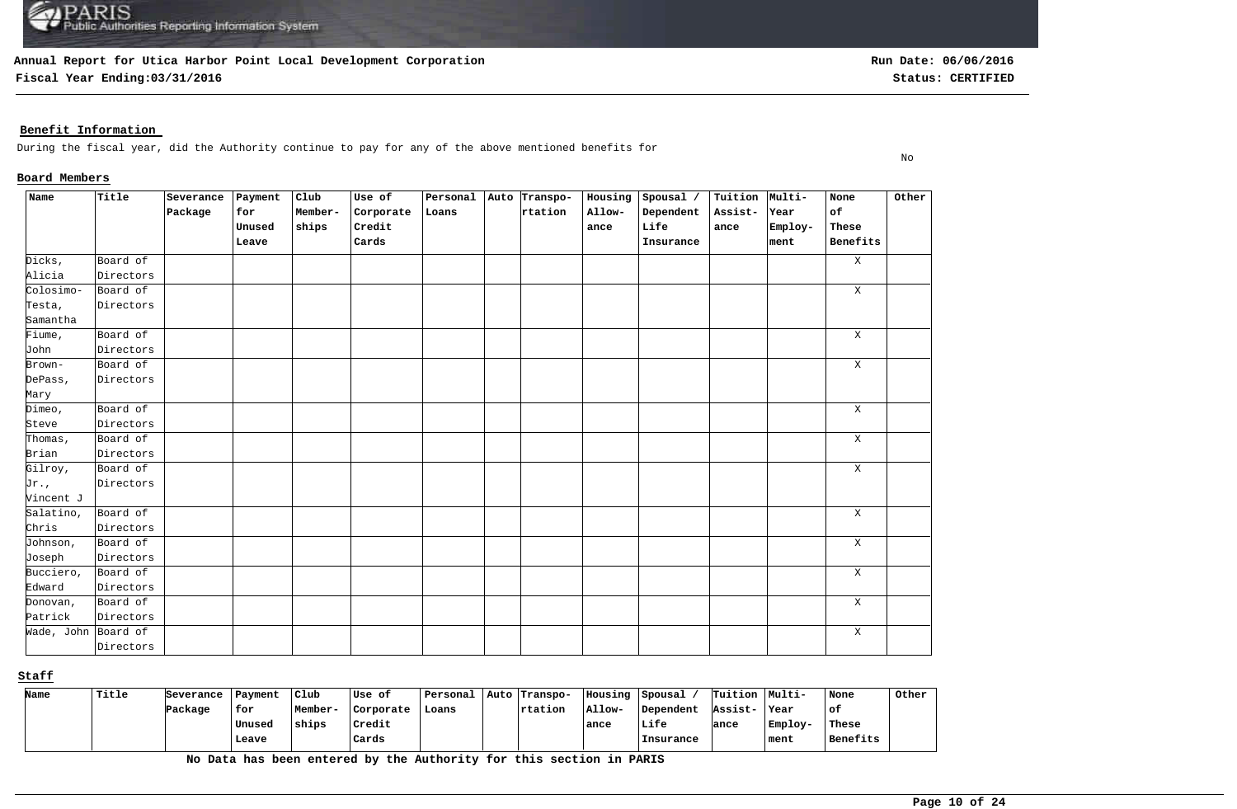**Fiscal Year Ending:03/31/2016 Status: CERTIFIED**

No

### **Benefit Information**

During the fiscal year, did the Authority continue to pay for any of the above mentioned benefits for

#### **Board Members**

| Name                | Title     | Severance | Payment | $_{\text{Club}}$ | Use of    | Personal | Auto Transpo- | Housing | Spousal / | Tuition Multi- |         | None         | Other |
|---------------------|-----------|-----------|---------|------------------|-----------|----------|---------------|---------|-----------|----------------|---------|--------------|-------|
|                     |           | Package   | for     | Member-          | Corporate | Loans    | rtation       | Allow-  | Dependent | Assist-        | Year    | of           |       |
|                     |           |           | Unused  | ships            | Credit    |          |               | ance    | Life      | ance           | Employ- | These        |       |
|                     |           |           | Leave   |                  | Cards     |          |               |         | Insurance |                | ment    | Benefits     |       |
| Dicks,              | Board of  |           |         |                  |           |          |               |         |           |                |         | $\mathbf{X}$ |       |
| Alicia              | Directors |           |         |                  |           |          |               |         |           |                |         |              |       |
| Colosimo-           | Board of  |           |         |                  |           |          |               |         |           |                |         | X            |       |
| Testa,              | Directors |           |         |                  |           |          |               |         |           |                |         |              |       |
| Samantha            |           |           |         |                  |           |          |               |         |           |                |         |              |       |
| Fiume,              | Board of  |           |         |                  |           |          |               |         |           |                |         | X            |       |
| John                | Directors |           |         |                  |           |          |               |         |           |                |         |              |       |
| Brown-              | Board of  |           |         |                  |           |          |               |         |           |                |         | Χ            |       |
| DePass,             | Directors |           |         |                  |           |          |               |         |           |                |         |              |       |
| Mary                |           |           |         |                  |           |          |               |         |           |                |         |              |       |
| Dimeo,              | Board of  |           |         |                  |           |          |               |         |           |                |         | $\mathbf{X}$ |       |
| Steve               | Directors |           |         |                  |           |          |               |         |           |                |         |              |       |
| Thomas,             | Board of  |           |         |                  |           |          |               |         |           |                |         | $\mathbf X$  |       |
| Brian               | Directors |           |         |                  |           |          |               |         |           |                |         |              |       |
| Gilroy,             | Board of  |           |         |                  |           |          |               |         |           |                |         | X            |       |
| Jr.,                | Directors |           |         |                  |           |          |               |         |           |                |         |              |       |
| Vincent J           |           |           |         |                  |           |          |               |         |           |                |         |              |       |
| Salatino,           | Board of  |           |         |                  |           |          |               |         |           |                |         | $\mathbf X$  |       |
| Chris               | Directors |           |         |                  |           |          |               |         |           |                |         |              |       |
| Johnson,            | Board of  |           |         |                  |           |          |               |         |           |                |         | $\mathbf X$  |       |
| Joseph              | Directors |           |         |                  |           |          |               |         |           |                |         |              |       |
| Bucciero,           | Board of  |           |         |                  |           |          |               |         |           |                |         | $\mathbf X$  |       |
| Edward              | Directors |           |         |                  |           |          |               |         |           |                |         |              |       |
| Donovan,            | Board of  |           |         |                  |           |          |               |         |           |                |         | $\mathbf X$  |       |
| Patrick             | Directors |           |         |                  |           |          |               |         |           |                |         |              |       |
| Wade, John Board of |           |           |         |                  |           |          |               |         |           |                |         | $\mathbf X$  |       |
|                     | Directors |           |         |                  |           |          |               |         |           |                |         |              |       |

**Staff**

| Name | Title | Severance | Payment | Club    | Use of    | Personal | Auto Transpo-  | Housing | Spousal   | Tuition Multi- |         | None     | Other |
|------|-------|-----------|---------|---------|-----------|----------|----------------|---------|-----------|----------------|---------|----------|-------|
|      |       | Package   | for     | Member- | Corporate | Loans    | <b>rtation</b> | Allow-  | Dependent | Assist-        | ∣Year   | of.      |       |
|      |       |           | Unused  | ships   | Credit    |          |                | ance    | Life      | lance          | Employ- | These    |       |
|      |       |           | Leave   |         | Cards     |          |                |         | Insurance |                | ∣ment   | Benefits |       |

**No Data has been entered by the Authority for this section in PARIS**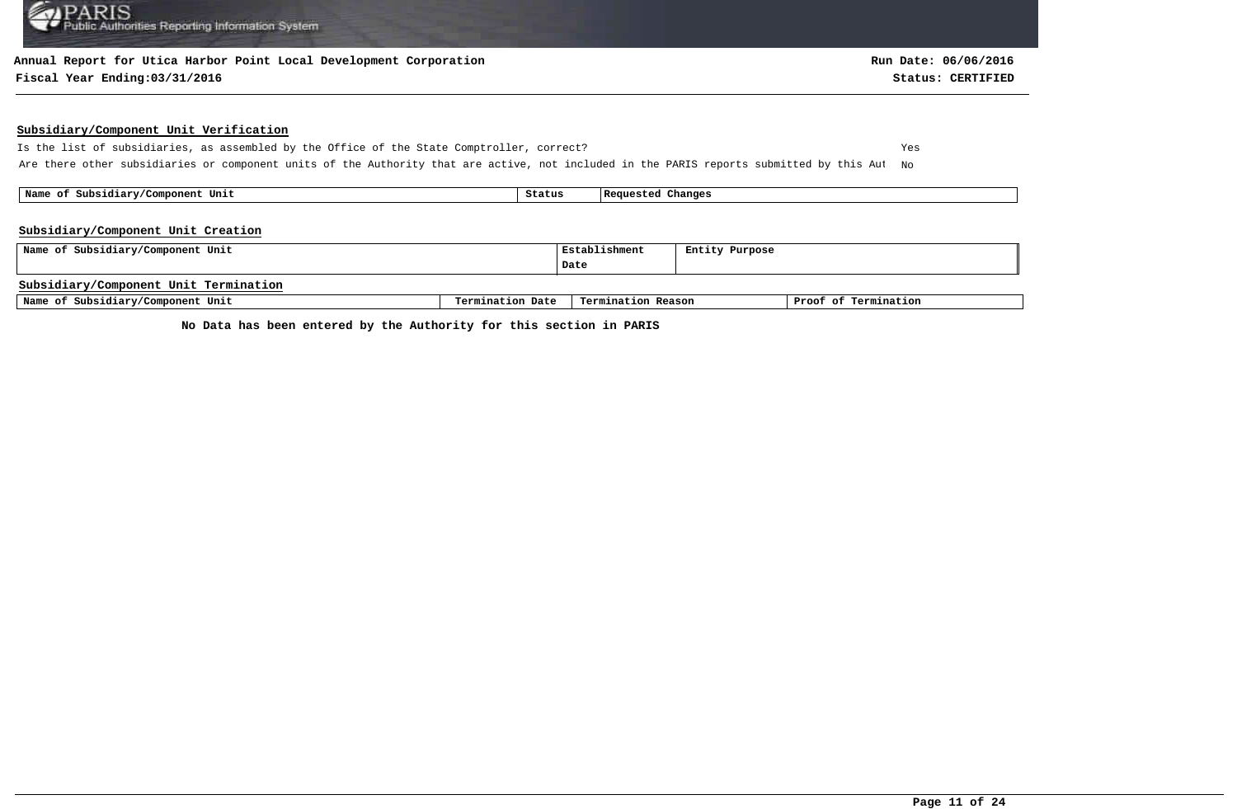#### **Annual Report for Utica Harbor Point Local Development Corporation**

#### **Fiscal Year Ending:03/31/2016 Status: CERTIFIED**

#### **Subsidiary/Component Unit Verification**

Is the list of subsidiaries, as assembled by the Office of the State Comptroller, correct? Yes Are there other subsidiaries or component units of the Authority that are active, not included in the PARIS reports submitted by this Aut No

 **Name of Subsidiary/Component Unit Status Requested Changes** 

#### **Subsidiary/Component Unit Creation**

| Name of Subsidiary/Component Unit     | Establishment    | Entity Purpose     |  |                      |
|---------------------------------------|------------------|--------------------|--|----------------------|
|                                       |                  | Date               |  |                      |
| Subsidiary/Component Unit Termination |                  |                    |  |                      |
| Name of Subsidiary/Component Unit     | Termination Date | Termination Reason |  | Proof of Termination |

**No Data has been entered by the Authority for this section in PARIS**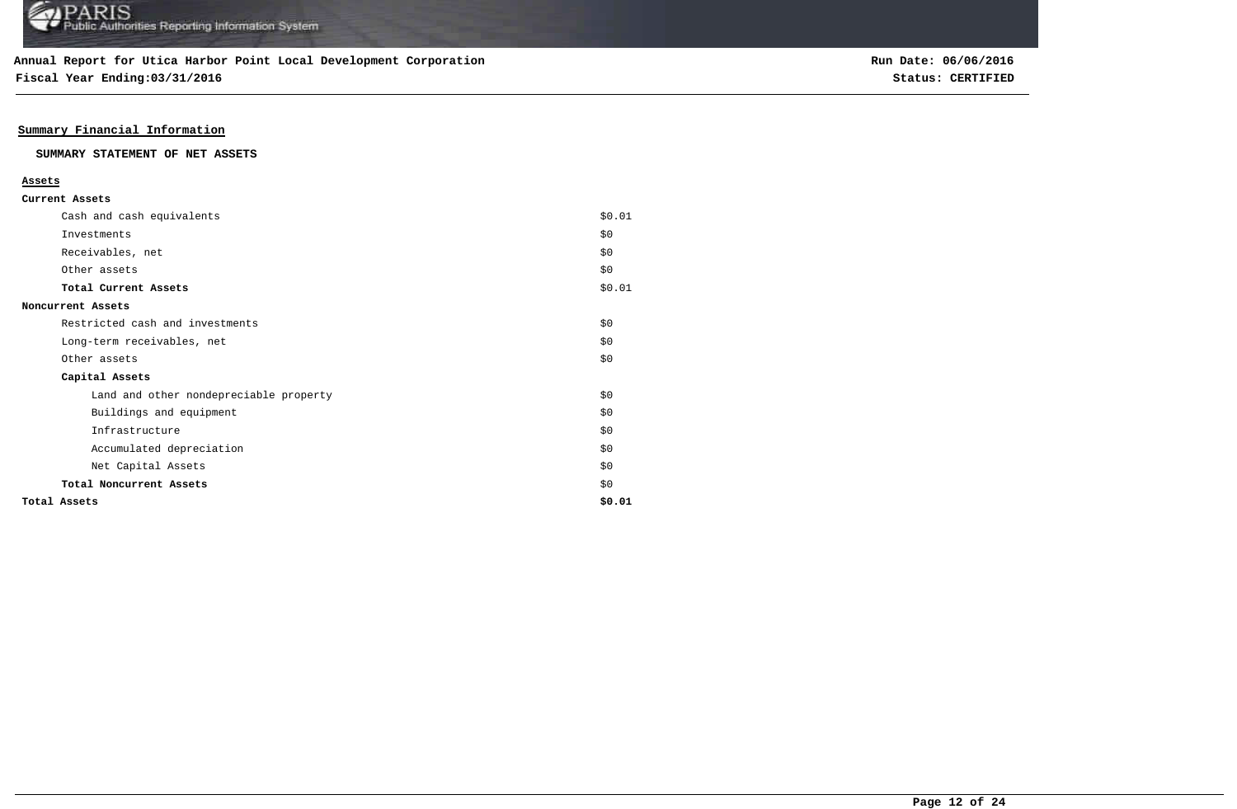**Fiscal Year Ending:03/31/2016 Status: CERTIFIED**

### **Summary Financial Information**

#### **SUMMARY STATEMENT OF NET ASSETS**

#### **Assets**

| Cash and cash equivalents              | \$0.01 |
|----------------------------------------|--------|
| Investments                            | \$0    |
| Receivables, net                       | \$0\$  |
| Other assets                           | \$0\$  |
| Total Current Assets                   | \$0.01 |
| Noncurrent Assets                      |        |
| Restricted cash and investments        | \$0    |
| Long-term receivables, net             | \$0    |
| Other assets                           | \$0    |
| Capital Assets                         |        |
| Land and other nondepreciable property | \$0    |
| Buildings and equipment                | \$0    |
| Infrastructure                         | \$0    |
| Accumulated depreciation               | \$0    |
| Net Capital Assets                     | \$0    |
| Total Noncurrent Assets                | \$0    |
| Total Assets                           | \$0.01 |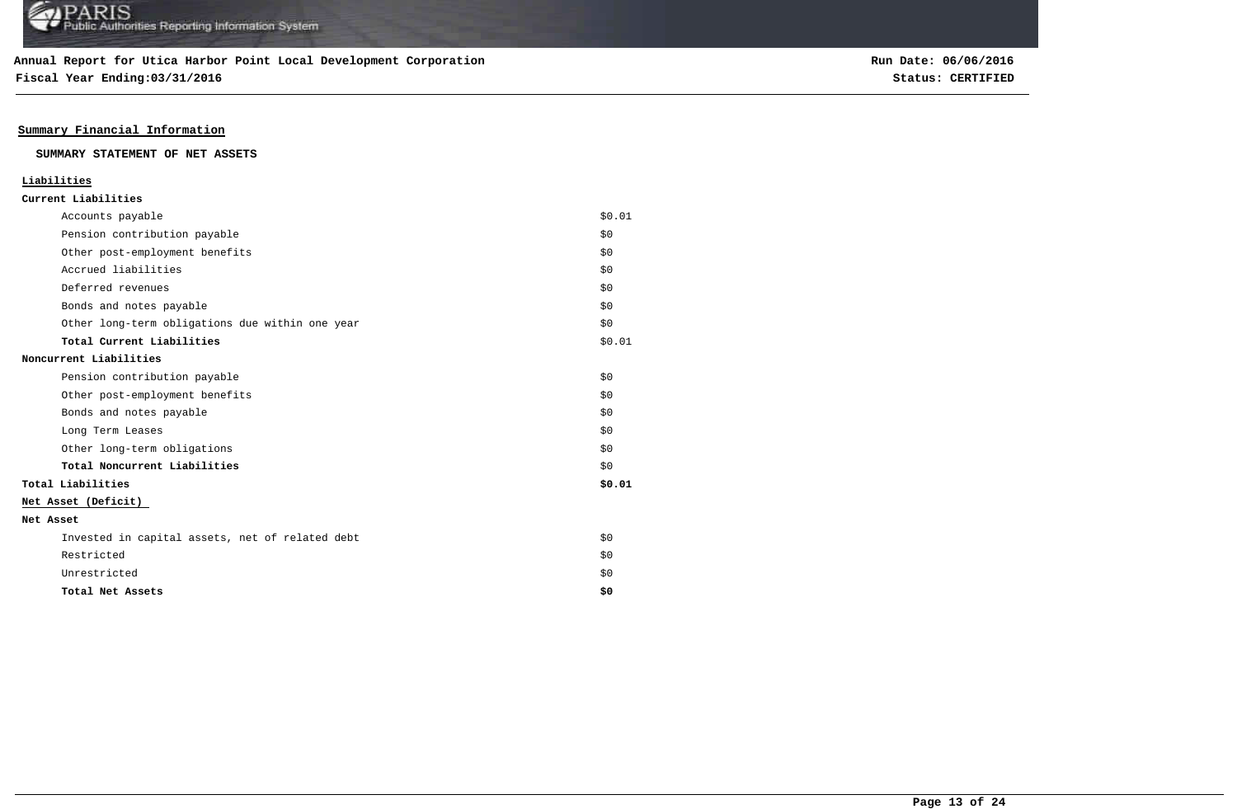**Fiscal Year Ending:03/31/2016 Status: CERTIFIED**

### **Summary Financial Information**

#### **SUMMARY STATEMENT OF NET ASSETS**

### **Liabilities**

| Accounts payable                                | \$0.01 |
|-------------------------------------------------|--------|
| Pension contribution payable                    | \$0    |
| Other post-employment benefits                  | \$0    |
| Accrued liabilities                             | \$0    |
| Deferred revenues                               | \$0    |
| Bonds and notes payable                         | \$0    |
| Other long-term obligations due within one year | \$0    |
| Total Current Liabilities                       | \$0.01 |
| Noncurrent Liabilities                          |        |
| Pension contribution payable                    | \$0    |
| Other post-employment benefits                  | \$0    |
| Bonds and notes payable                         | \$0    |
| Long Term Leases                                | \$0    |
| Other long-term obligations                     | \$0    |
| Total Noncurrent Liabilities                    | \$0    |
| Total Liabilities                               | \$0.01 |
| Net Asset (Deficit)                             |        |
| Net Asset                                       |        |
| Invested in capital assets, net of related debt | \$0    |
| Restricted                                      | \$0    |
| Unrestricted                                    | \$0    |
| Total Net Assets                                | \$0    |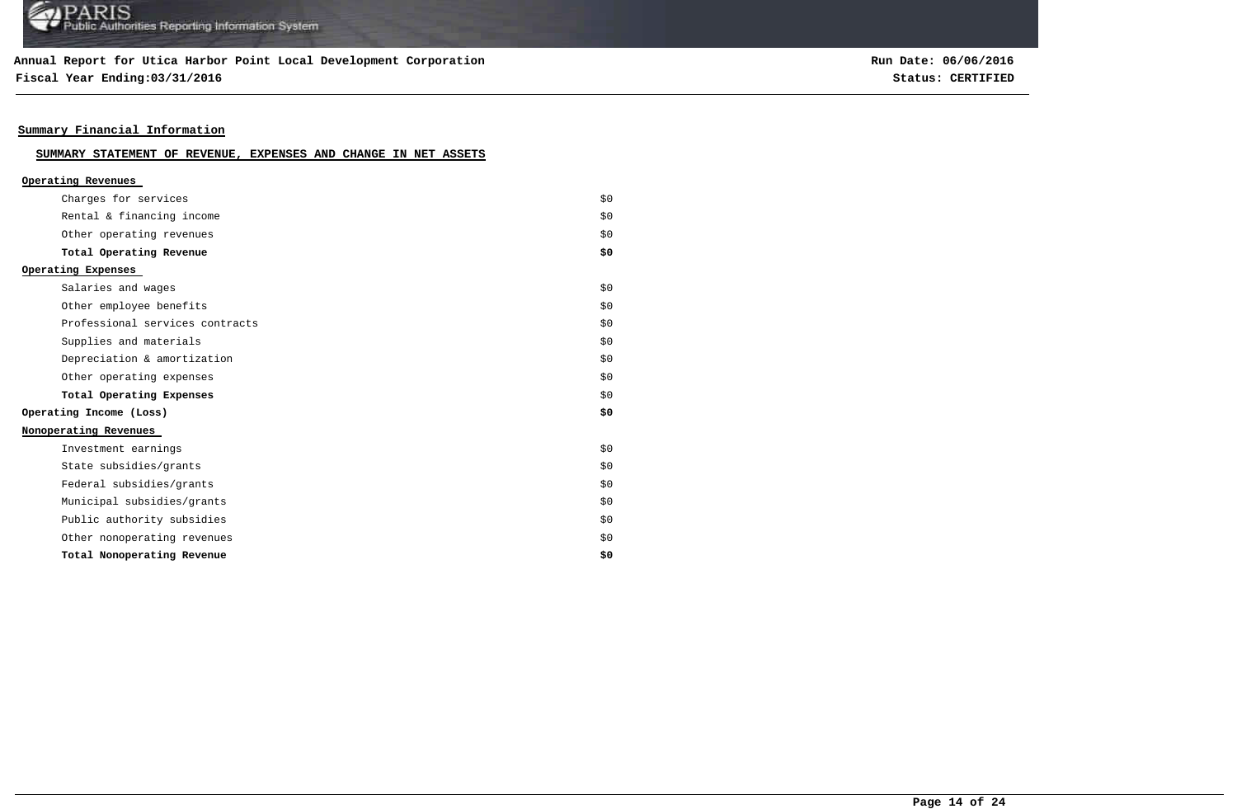### **Annual Report for Utica Harbor Point Local Development Corporation**

**Fiscal Year Ending:03/31/2016 Status: CERTIFIED**

**Run Date: 06/06/2016**

### **Summary Financial Information**

### **SUMMARY STATEMENT OF REVENUE, EXPENSES AND CHANGE IN NET ASSETS**

| Operating Revenues              |     |
|---------------------------------|-----|
| Charges for services            | \$0 |
| Rental & financing income       | \$0 |
| Other operating revenues        | \$0 |
| Total Operating Revenue         | \$0 |
| Operating Expenses              |     |
| Salaries and wages              | \$0 |
| Other employee benefits         | \$0 |
| Professional services contracts | \$0 |
| Supplies and materials          | \$0 |
| Depreciation & amortization     | \$0 |
| Other operating expenses        | \$0 |
| Total Operating Expenses        | \$0 |
| Operating Income (Loss)         | \$0 |
| Nonoperating Revenues           |     |
| Investment earnings             | \$0 |
| State subsidies/grants          | \$0 |
| Federal subsidies/grants        | \$0 |
| Municipal subsidies/grants      | \$0 |
| Public authority subsidies      | \$0 |
| Other nonoperating revenues     | \$0 |
| Total Nonoperating Revenue      | \$0 |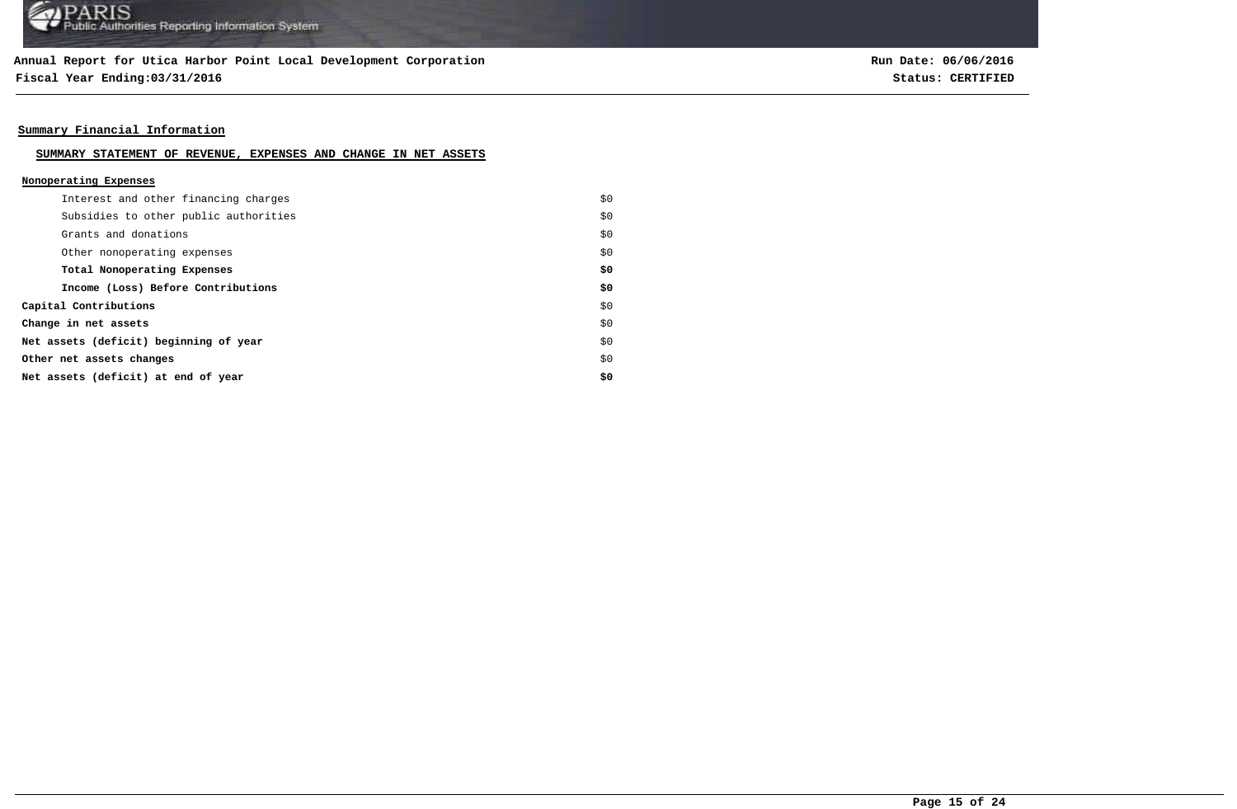**Fiscal Year Ending:03/31/2016 Status: CERTIFIED**

**Run Date: 06/06/2016**

### **Summary Financial Information**

#### **SUMMARY STATEMENT OF REVENUE, EXPENSES AND CHANGE IN NET ASSETS**

#### **Nonoperating Expenses**

| Interest and other financing charges   | \$0 |
|----------------------------------------|-----|
| Subsidies to other public authorities  | \$0 |
| Grants and donations                   | \$0 |
| Other nonoperating expenses            | \$0 |
| Total Nonoperating Expenses            | \$0 |
| Income (Loss) Before Contributions     | \$0 |
| Capital Contributions                  | \$0 |
| Change in net assets                   | \$0 |
| Net assets (deficit) beginning of year | \$0 |
| Other net assets changes               | \$0 |
| Net assets (deficit) at end of year    | \$0 |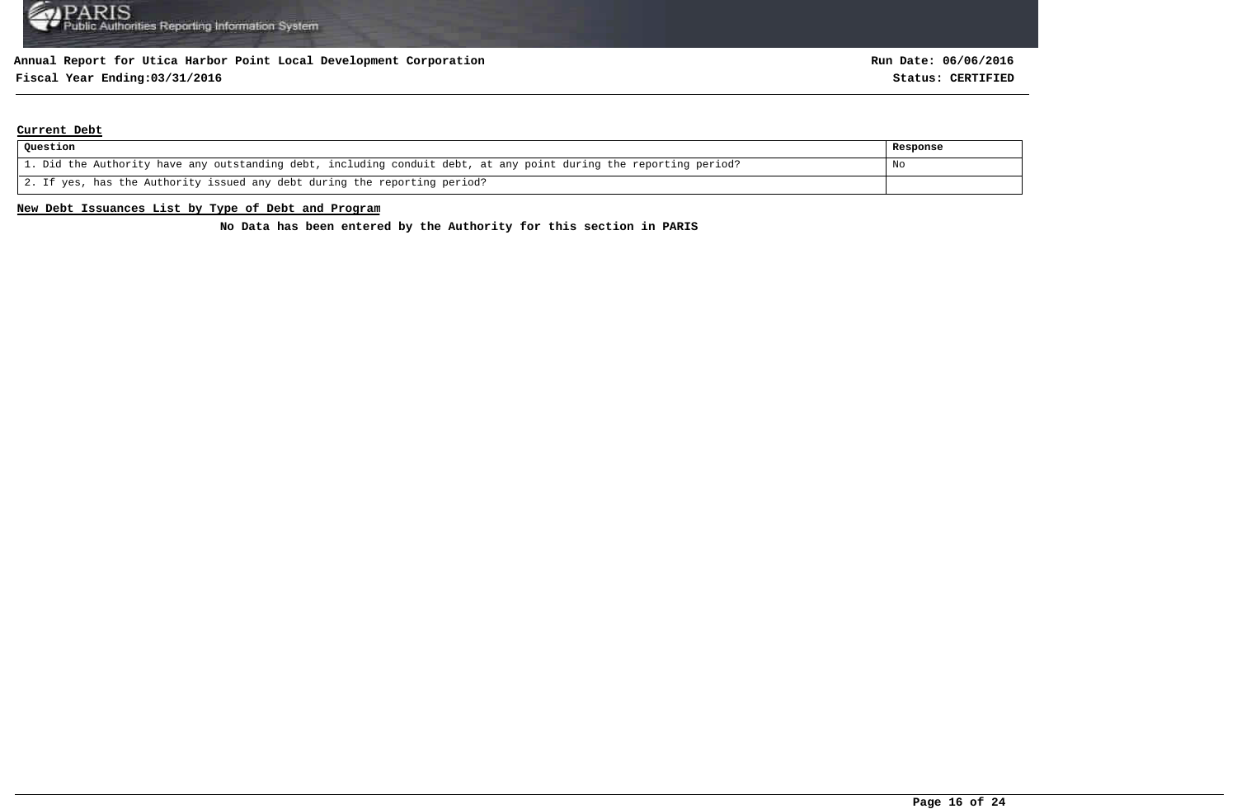## **Fiscal Year Ending:03/31/2016 Status: CERTIFIED**

#### **Current Debt**

| Question                                                                                                          | Response |
|-------------------------------------------------------------------------------------------------------------------|----------|
| 1. Did the Authority have any outstanding debt, including conduit debt, at any point during the reporting period? | No       |
| 2. If yes, has the Authority issued any debt during the reporting period?                                         |          |

#### **New Debt Issuances List by Type of Debt and Program**

**No Data has been entered by the Authority for this section in PARIS**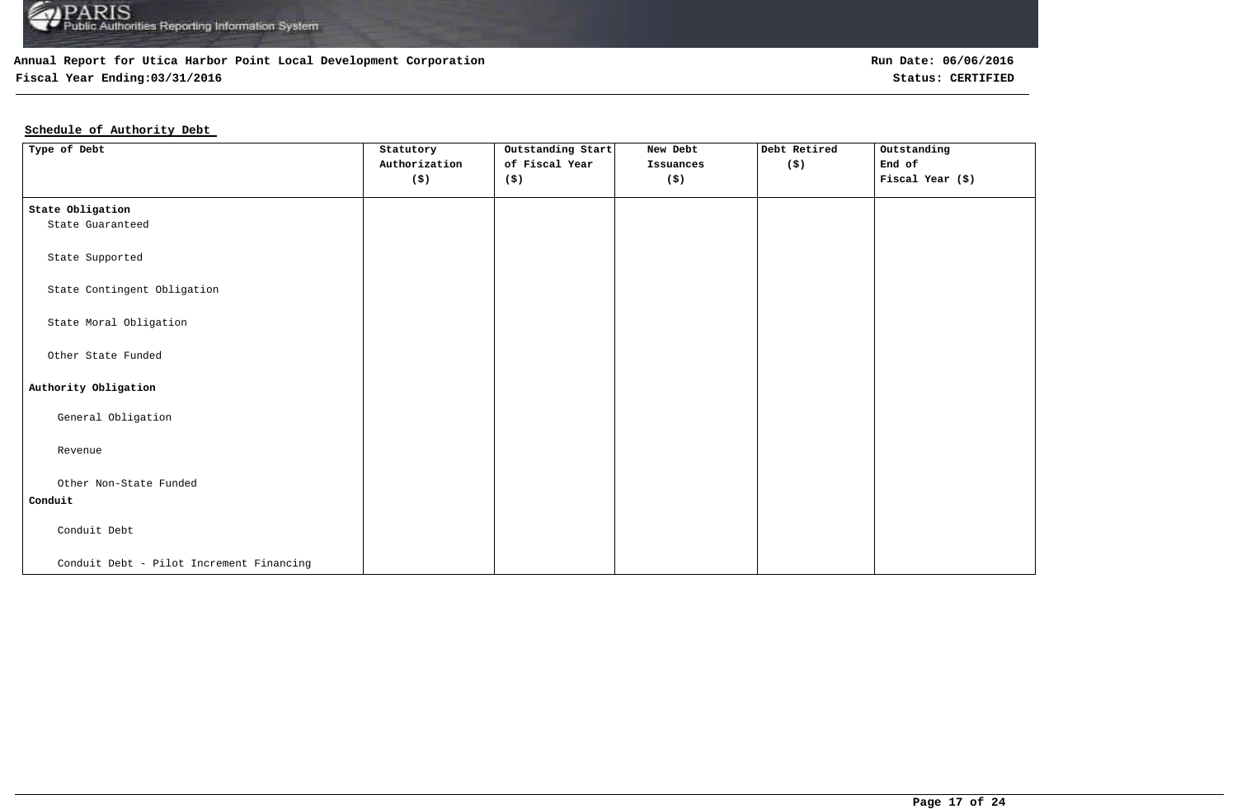

## **Fiscal Year Ending:03/31/2016 Status: CERTIFIED**

## **Schedule of Authority Debt**

| Type of Debt                             | Statutory<br>Authorization<br>(\$) | Outstanding Start<br>of Fiscal Year<br>(\$) | New Debt<br>Issuances<br>$(\boldsymbol{\mathsf{S}})$ | Debt Retired<br>(\$) | Outstanding<br>End of<br>Fiscal Year (\$) |
|------------------------------------------|------------------------------------|---------------------------------------------|------------------------------------------------------|----------------------|-------------------------------------------|
| State Obligation                         |                                    |                                             |                                                      |                      |                                           |
| State Guaranteed                         |                                    |                                             |                                                      |                      |                                           |
| State Supported                          |                                    |                                             |                                                      |                      |                                           |
| State Contingent Obligation              |                                    |                                             |                                                      |                      |                                           |
| State Moral Obligation                   |                                    |                                             |                                                      |                      |                                           |
| Other State Funded                       |                                    |                                             |                                                      |                      |                                           |
| Authority Obligation                     |                                    |                                             |                                                      |                      |                                           |
| General Obligation                       |                                    |                                             |                                                      |                      |                                           |
| Revenue                                  |                                    |                                             |                                                      |                      |                                           |
| Other Non-State Funded                   |                                    |                                             |                                                      |                      |                                           |
| Conduit                                  |                                    |                                             |                                                      |                      |                                           |
| Conduit Debt                             |                                    |                                             |                                                      |                      |                                           |
| Conduit Debt - Pilot Increment Financing |                                    |                                             |                                                      |                      |                                           |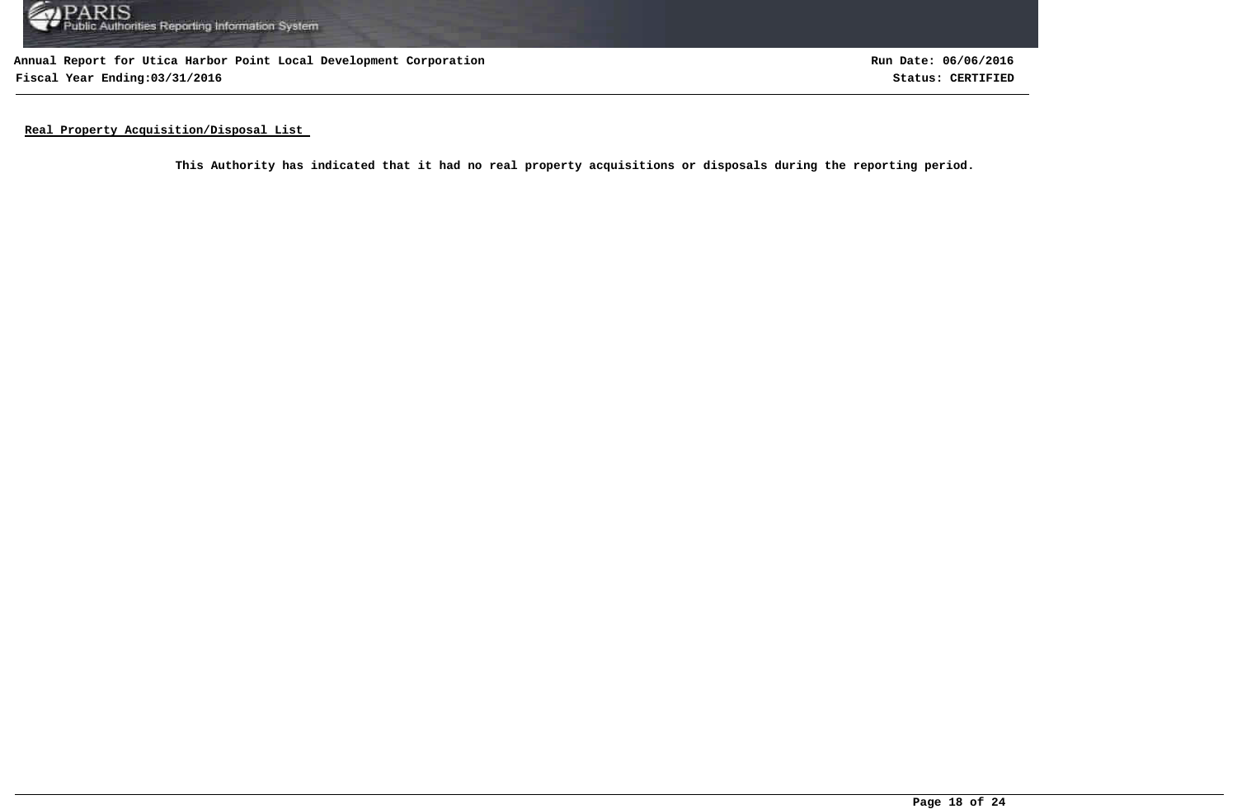

**Annual Report for Utica Harbor Point Local Development Corporation Fiscal Year Ending:03/31/2016 Status: CERTIFIED**

**Run Date: 06/06/2016**

**Real Property Acquisition/Disposal List** 

**This Authority has indicated that it had no real property acquisitions or disposals during the reporting period.**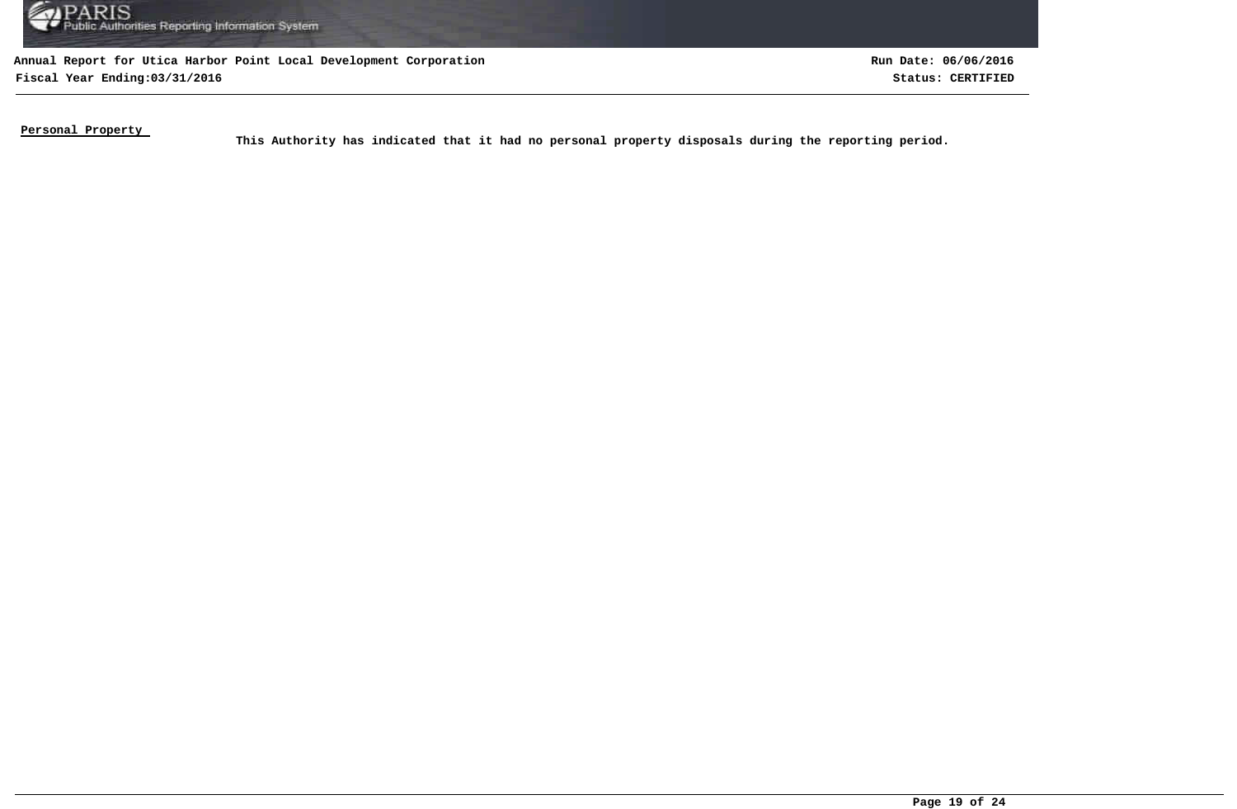

**Annual Report for Utica Harbor Point Local Development Corporation Fiscal Year Ending:03/31/2016 Status: CERTIFIED**

**Run Date: 06/06/2016**

**Personal Property** 

This Authority has indicated that it had no personal property disposals during the reporting period.<br>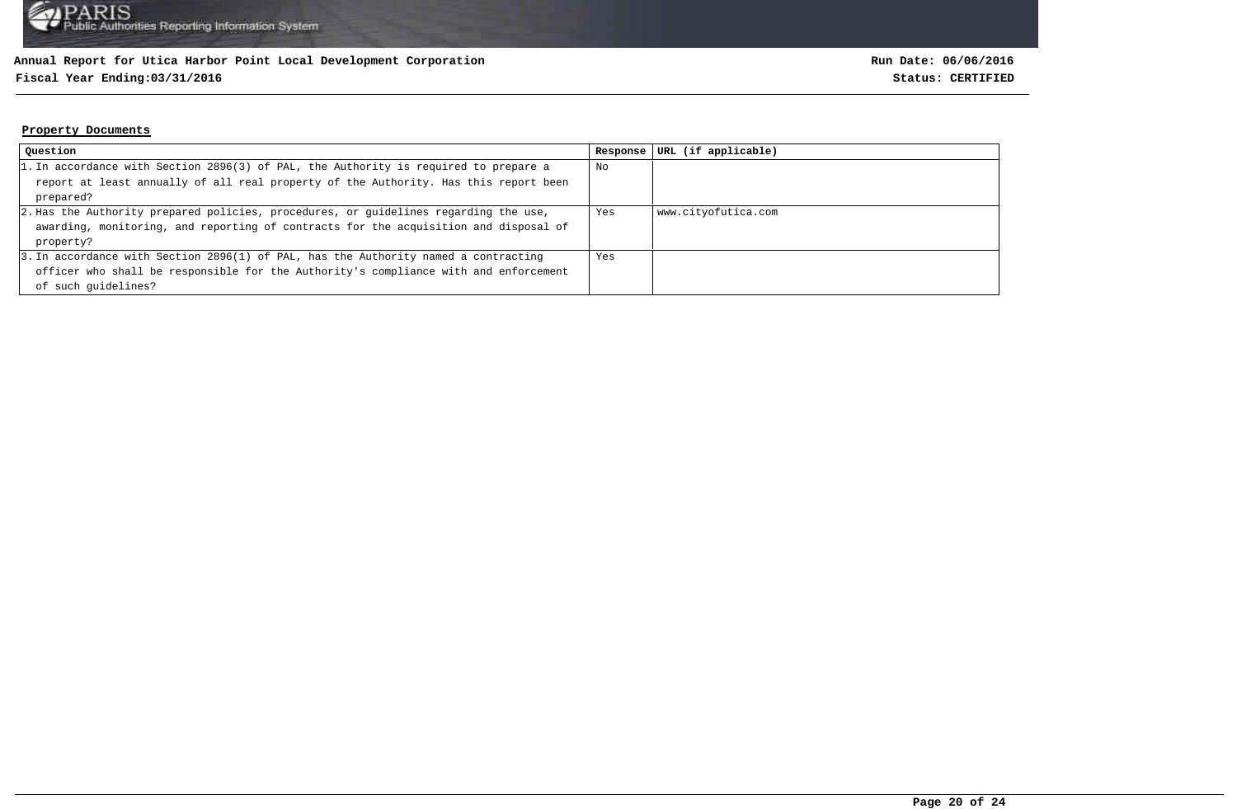### **Fiscal Year Ending:03/31/2016 Status: CERTIFIED**

#### **Property Documents**

| Question                                                                             | Response | URL (if applicable) |
|--------------------------------------------------------------------------------------|----------|---------------------|
| 1. In accordance with Section 2896(3) of PAL, the Authority is required to prepare a | No       |                     |
| report at least annually of all real property of the Authority. Has this report been |          |                     |
| prepared?                                                                            |          |                     |
| 2. Has the Authority prepared policies, procedures, or guidelines regarding the use, | Yes      | www.cityofutica.com |
| awarding, monitoring, and reporting of contracts for the acquisition and disposal of |          |                     |
| property?                                                                            |          |                     |
| 3. In accordance with Section 2896(1) of PAL, has the Authority named a contracting  | Yes      |                     |
| officer who shall be responsible for the Authority's compliance with and enforcement |          |                     |
| of such quidelines?                                                                  |          |                     |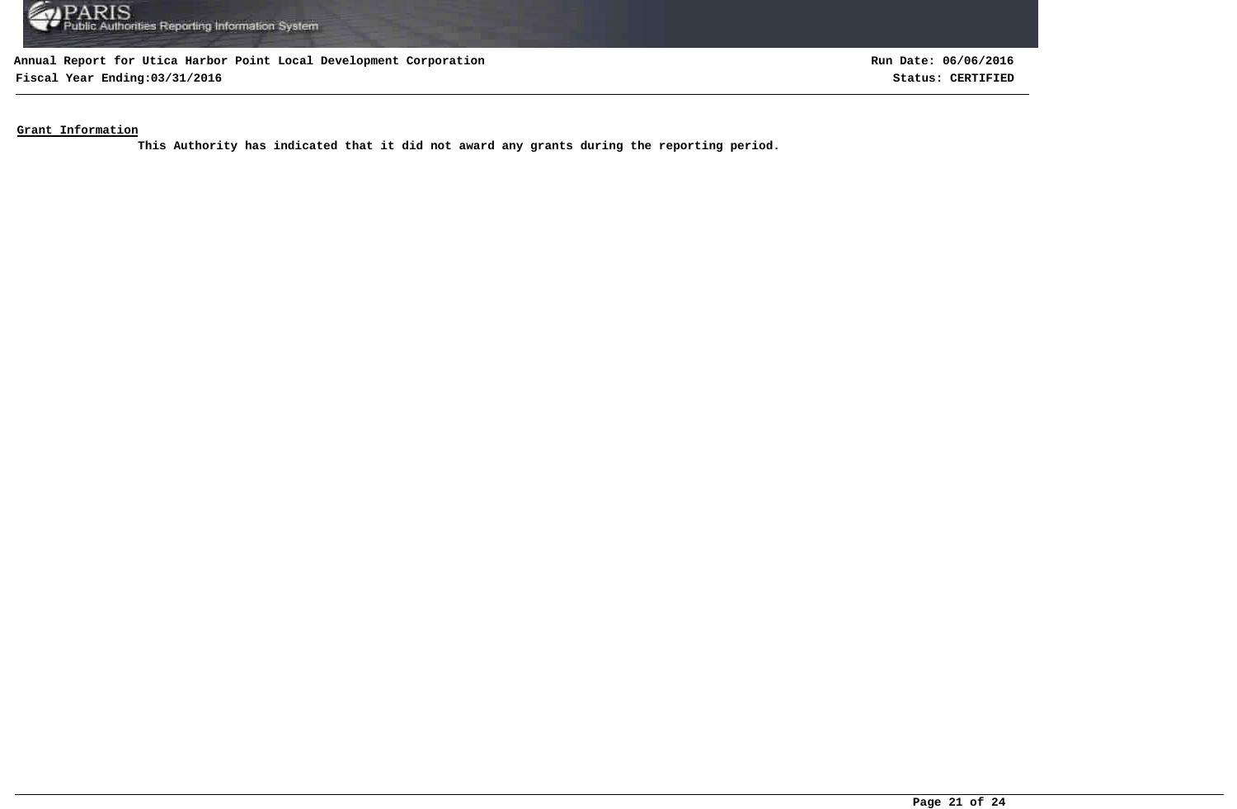

**Fiscal Year Ending:03/31/2016 Status: CERTIFIED**

**Run Date: 06/06/2016**

**Grant Information**

**This Authority has indicated that it did not award any grants during the reporting period.**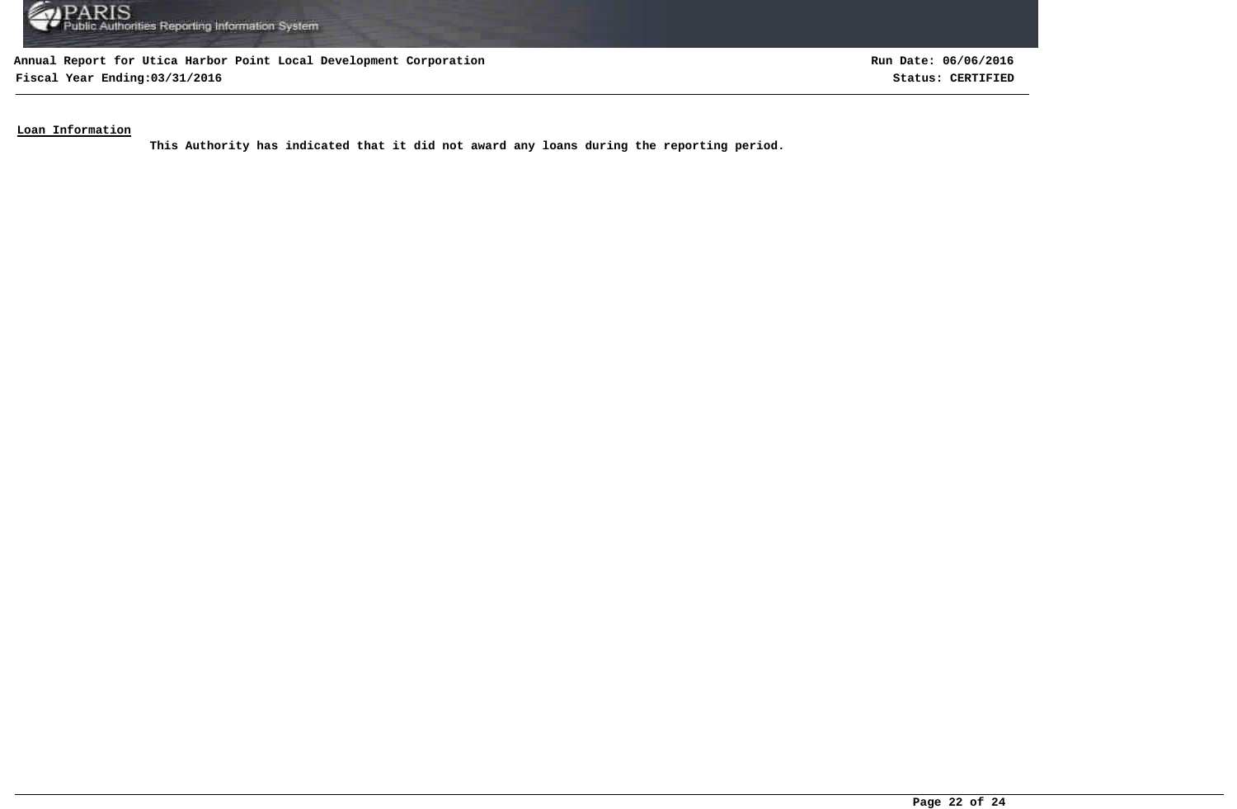

**Fiscal Year Ending:03/31/2016 Status: CERTIFIED**

**Run Date: 06/06/2016**

### **Loan Information**

**This Authority has indicated that it did not award any loans during the reporting period.**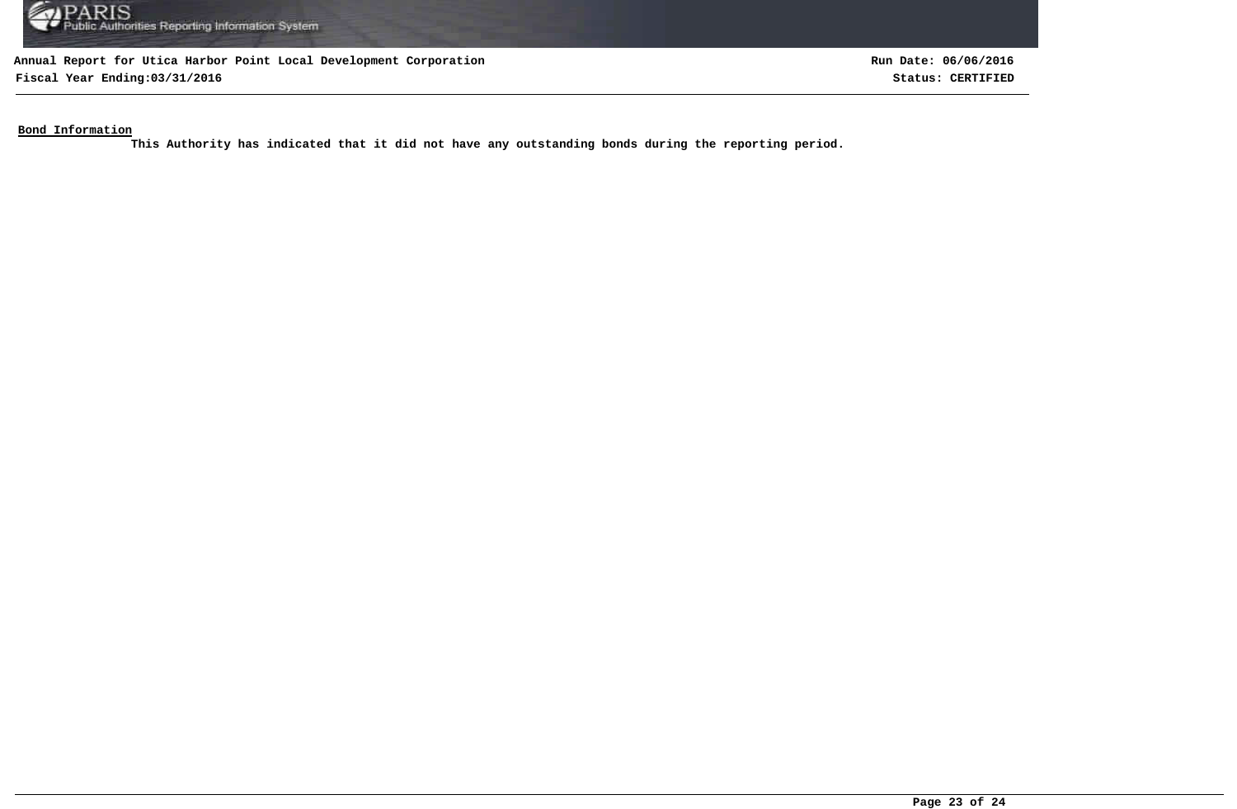

**Fiscal Year Ending:03/31/2016 Status: CERTIFIED**

**Run Date: 06/06/2016**

**Bond Information**

**This Authority has indicated that it did not have any outstanding bonds during the reporting period.**